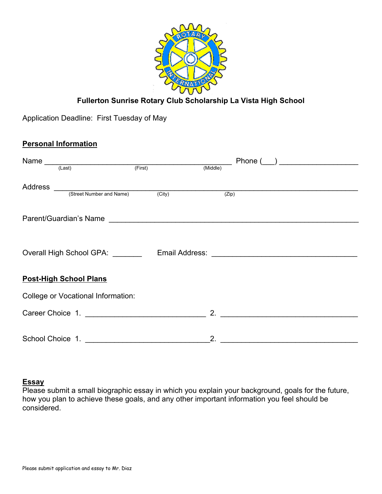

# **Fullerton Sunrise Rotary Club Scholarship La Vista High School**

Application Deadline: First Tuesday of May

## **Personal Information**

| Name                                               |        | Phone (  |  |
|----------------------------------------------------|--------|----------|--|
| $\overline{\phantom{a}}$<br>ast) (First)<br>(Last) |        | (Middle) |  |
| Address                                            |        |          |  |
| (Street Number and Name)                           | (City) | (Zip)    |  |
|                                                    |        |          |  |
| Overall High School GPA: _______                   |        |          |  |
| <b>Post-High School Plans</b>                      |        |          |  |
| <b>College or Vocational Information:</b>          |        |          |  |
| Career Choice 1.                                   |        | 2.       |  |
| School Choice 1.                                   |        |          |  |

#### **Essay**

Please submit a small biographic essay in which you explain your background, goals for the future, how you plan to achieve these goals, and any other important information you feel should be considered.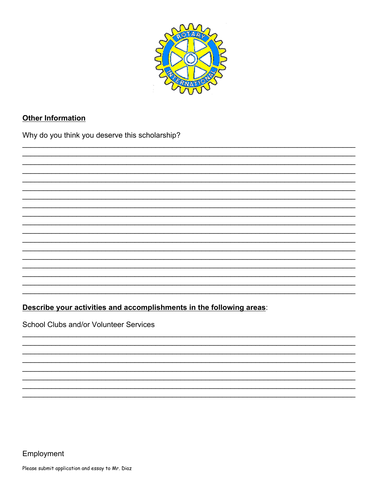

## **Other Information**

Why do you think you deserve this scholarship?

Describe your activities and accomplishments in the following areas:

School Clubs and/or Volunteer Services

Employment

Please submit application and essay to Mr. Diaz